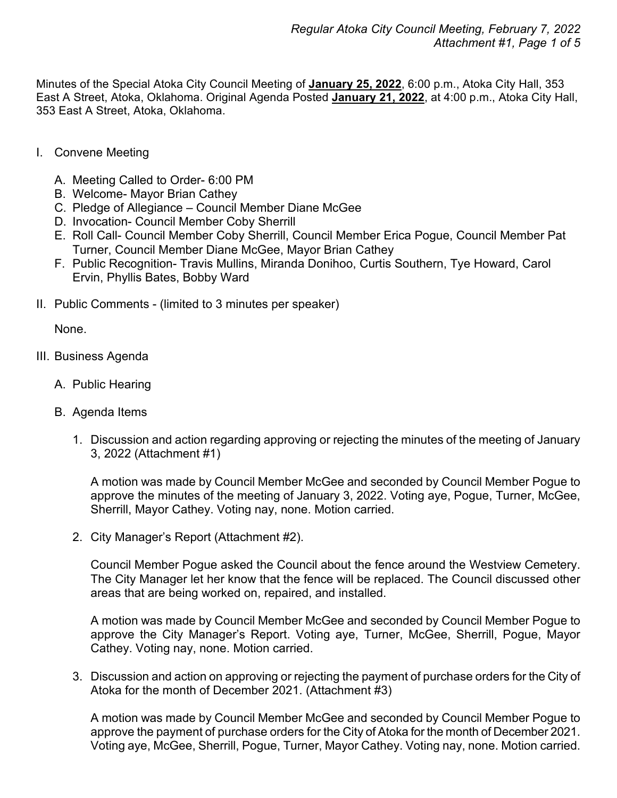Minutes of the Special Atoka City Council Meeting of **January 25, 2022**, 6:00 p.m., Atoka City Hall, 353 East A Street, Atoka, Oklahoma. Original Agenda Posted **January 21, 2022**, at 4:00 p.m., Atoka City Hall, 353 East A Street, Atoka, Oklahoma.

- I. Convene Meeting
	- A. Meeting Called to Order- 6:00 PM
	- B. Welcome- Mayor Brian Cathey
	- C. Pledge of Allegiance Council Member Diane McGee
	- D. Invocation- Council Member Coby Sherrill
	- E. Roll Call- Council Member Coby Sherrill, Council Member Erica Pogue, Council Member Pat Turner, Council Member Diane McGee, Mayor Brian Cathey
	- F. Public Recognition- Travis Mullins, Miranda Donihoo, Curtis Southern, Tye Howard, Carol Ervin, Phyllis Bates, Bobby Ward
- II. Public Comments (limited to 3 minutes per speaker)

None.

- III. Business Agenda
	- A. Public Hearing
	- B. Agenda Items
		- 1. Discussion and action regarding approving or rejecting the minutes of the meeting of January 3, 2022 (Attachment #1)

A motion was made by Council Member McGee and seconded by Council Member Pogue to approve the minutes of the meeting of January 3, 2022. Voting aye, Pogue, Turner, McGee, Sherrill, Mayor Cathey. Voting nay, none. Motion carried.

2. City Manager's Report (Attachment #2).

Council Member Pogue asked the Council about the fence around the Westview Cemetery. The City Manager let her know that the fence will be replaced. The Council discussed other areas that are being worked on, repaired, and installed.

A motion was made by Council Member McGee and seconded by Council Member Pogue to approve the City Manager's Report. Voting aye, Turner, McGee, Sherrill, Pogue, Mayor Cathey. Voting nay, none. Motion carried.

3. Discussion and action on approving or rejecting the payment of purchase orders for the City of Atoka for the month of December 2021. (Attachment #3)

A motion was made by Council Member McGee and seconded by Council Member Pogue to approve the payment of purchase orders for the City of Atoka for the month of December 2021. Voting aye, McGee, Sherrill, Pogue, Turner, Mayor Cathey. Voting nay, none. Motion carried.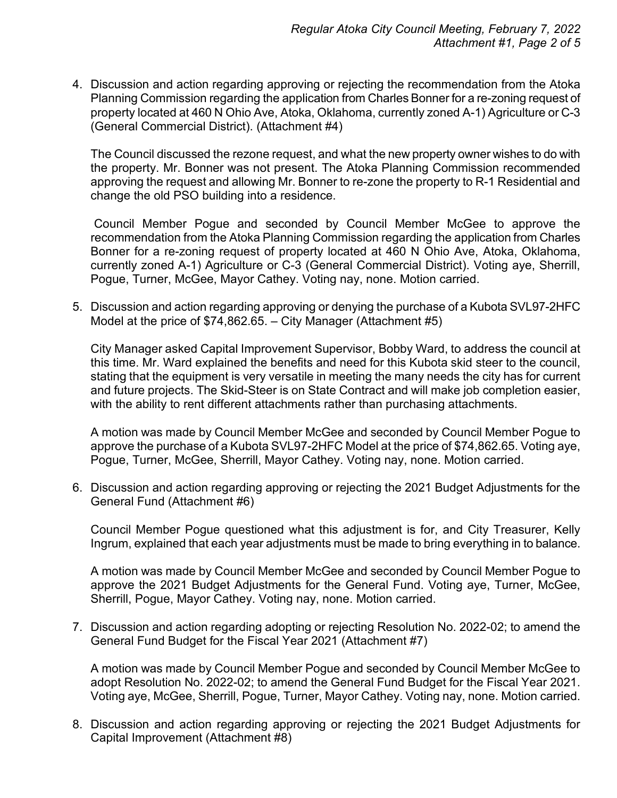4. Discussion and action regarding approving or rejecting the recommendation from the Atoka Planning Commission regarding the application from Charles Bonner for a re-zoning request of property located at 460 N Ohio Ave, Atoka, Oklahoma, currently zoned A-1) Agriculture or C-3 (General Commercial District). (Attachment #4)

The Council discussed the rezone request, and what the new property owner wishes to do with the property. Mr. Bonner was not present. The Atoka Planning Commission recommended approving the request and allowing Mr. Bonner to re-zone the property to R-1 Residential and change the old PSO building into a residence.

Council Member Pogue and seconded by Council Member McGee to approve the recommendation from the Atoka Planning Commission regarding the application from Charles Bonner for a re-zoning request of property located at 460 N Ohio Ave, Atoka, Oklahoma, currently zoned A-1) Agriculture or C-3 (General Commercial District). Voting aye, Sherrill, Pogue, Turner, McGee, Mayor Cathey. Voting nay, none. Motion carried.

5. Discussion and action regarding approving or denying the purchase of a Kubota SVL97-2HFC Model at the price of \$74,862.65. – City Manager (Attachment #5)

City Manager asked Capital Improvement Supervisor, Bobby Ward, to address the council at this time. Mr. Ward explained the benefits and need for this Kubota skid steer to the council, stating that the equipment is very versatile in meeting the many needs the city has for current and future projects. The Skid-Steer is on State Contract and will make job completion easier, with the ability to rent different attachments rather than purchasing attachments.

A motion was made by Council Member McGee and seconded by Council Member Pogue to approve the purchase of a Kubota SVL97-2HFC Model at the price of \$74,862.65. Voting aye, Pogue, Turner, McGee, Sherrill, Mayor Cathey. Voting nay, none. Motion carried.

6. Discussion and action regarding approving or rejecting the 2021 Budget Adjustments for the General Fund (Attachment #6)

Council Member Pogue questioned what this adjustment is for, and City Treasurer, Kelly Ingrum, explained that each year adjustments must be made to bring everything in to balance.

A motion was made by Council Member McGee and seconded by Council Member Pogue to approve the 2021 Budget Adjustments for the General Fund. Voting aye, Turner, McGee, Sherrill, Pogue, Mayor Cathey. Voting nay, none. Motion carried.

7. Discussion and action regarding adopting or rejecting Resolution No. 2022-02; to amend the General Fund Budget for the Fiscal Year 2021 (Attachment #7)

A motion was made by Council Member Pogue and seconded by Council Member McGee to adopt Resolution No. 2022-02; to amend the General Fund Budget for the Fiscal Year 2021. Voting aye, McGee, Sherrill, Pogue, Turner, Mayor Cathey. Voting nay, none. Motion carried.

8. Discussion and action regarding approving or rejecting the 2021 Budget Adjustments for Capital Improvement (Attachment #8)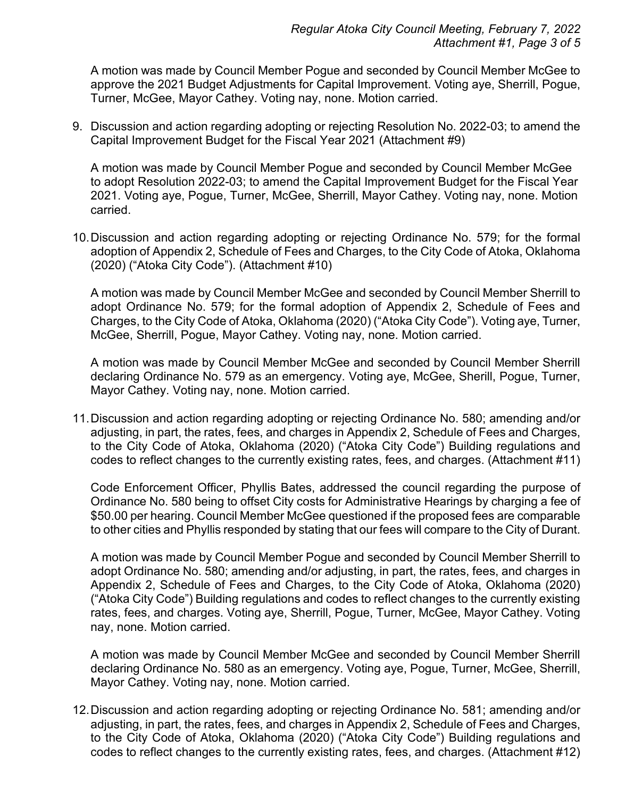A motion was made by Council Member Pogue and seconded by Council Member McGee to approve the 2021 Budget Adjustments for Capital Improvement. Voting aye, Sherrill, Pogue, Turner, McGee, Mayor Cathey. Voting nay, none. Motion carried.

9. Discussion and action regarding adopting or rejecting Resolution No. 2022-03; to amend the Capital Improvement Budget for the Fiscal Year 2021 (Attachment #9)

A motion was made by Council Member Pogue and seconded by Council Member McGee to adopt Resolution 2022-03; to amend the Capital Improvement Budget for the Fiscal Year 2021. Voting aye, Pogue, Turner, McGee, Sherrill, Mayor Cathey. Voting nay, none. Motion carried.

10.Discussion and action regarding adopting or rejecting Ordinance No. 579; for the formal adoption of Appendix 2, Schedule of Fees and Charges, to the City Code of Atoka, Oklahoma (2020) ("Atoka City Code"). (Attachment #10)

A motion was made by Council Member McGee and seconded by Council Member Sherrill to adopt Ordinance No. 579; for the formal adoption of Appendix 2, Schedule of Fees and Charges, to the City Code of Atoka, Oklahoma (2020) ("Atoka City Code"). Voting aye, Turner, McGee, Sherrill, Pogue, Mayor Cathey. Voting nay, none. Motion carried.

A motion was made by Council Member McGee and seconded by Council Member Sherrill declaring Ordinance No. 579 as an emergency. Voting aye, McGee, Sherill, Pogue, Turner, Mayor Cathey. Voting nay, none. Motion carried.

11.Discussion and action regarding adopting or rejecting Ordinance No. 580; amending and/or adjusting, in part, the rates, fees, and charges in Appendix 2, Schedule of Fees and Charges, to the City Code of Atoka, Oklahoma (2020) ("Atoka City Code") Building regulations and codes to reflect changes to the currently existing rates, fees, and charges. (Attachment #11)

Code Enforcement Officer, Phyllis Bates, addressed the council regarding the purpose of Ordinance No. 580 being to offset City costs for Administrative Hearings by charging a fee of \$50.00 per hearing. Council Member McGee questioned if the proposed fees are comparable to other cities and Phyllis responded by stating that our fees will compare to the City of Durant.

A motion was made by Council Member Pogue and seconded by Council Member Sherrill to adopt Ordinance No. 580; amending and/or adjusting, in part, the rates, fees, and charges in Appendix 2, Schedule of Fees and Charges, to the City Code of Atoka, Oklahoma (2020) ("Atoka City Code") Building regulations and codes to reflect changes to the currently existing rates, fees, and charges. Voting aye, Sherrill, Pogue, Turner, McGee, Mayor Cathey. Voting nay, none. Motion carried.

A motion was made by Council Member McGee and seconded by Council Member Sherrill declaring Ordinance No. 580 as an emergency. Voting aye, Pogue, Turner, McGee, Sherrill, Mayor Cathey. Voting nay, none. Motion carried.

12.Discussion and action regarding adopting or rejecting Ordinance No. 581; amending and/or adjusting, in part, the rates, fees, and charges in Appendix 2, Schedule of Fees and Charges, to the City Code of Atoka, Oklahoma (2020) ("Atoka City Code") Building regulations and codes to reflect changes to the currently existing rates, fees, and charges. (Attachment #12)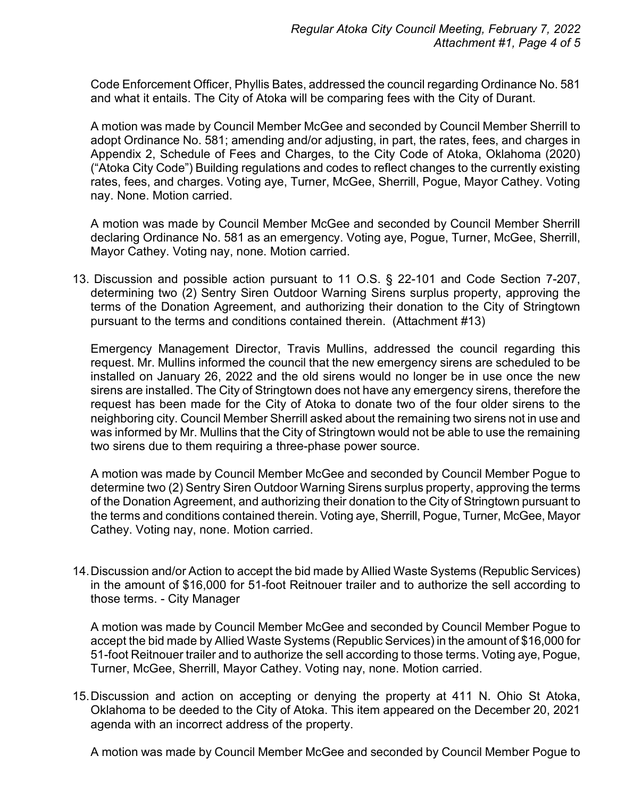Code Enforcement Officer, Phyllis Bates, addressed the council regarding Ordinance No. 581 and what it entails. The City of Atoka will be comparing fees with the City of Durant.

A motion was made by Council Member McGee and seconded by Council Member Sherrill to adopt Ordinance No. 581; amending and/or adjusting, in part, the rates, fees, and charges in Appendix 2, Schedule of Fees and Charges, to the City Code of Atoka, Oklahoma (2020) ("Atoka City Code") Building regulations and codes to reflect changes to the currently existing rates, fees, and charges. Voting aye, Turner, McGee, Sherrill, Pogue, Mayor Cathey. Voting nay. None. Motion carried.

A motion was made by Council Member McGee and seconded by Council Member Sherrill declaring Ordinance No. 581 as an emergency. Voting aye, Pogue, Turner, McGee, Sherrill, Mayor Cathey. Voting nay, none. Motion carried.

13. Discussion and possible action pursuant to 11 O.S. § 22-101 and Code Section 7-207, determining two (2) Sentry Siren Outdoor Warning Sirens surplus property, approving the terms of the Donation Agreement, and authorizing their donation to the City of Stringtown pursuant to the terms and conditions contained therein. (Attachment #13)

Emergency Management Director, Travis Mullins, addressed the council regarding this request. Mr. Mullins informed the council that the new emergency sirens are scheduled to be installed on January 26, 2022 and the old sirens would no longer be in use once the new sirens are installed. The City of Stringtown does not have any emergency sirens, therefore the request has been made for the City of Atoka to donate two of the four older sirens to the neighboring city. Council Member Sherrill asked about the remaining two sirens not in use and was informed by Mr. Mullins that the City of Stringtown would not be able to use the remaining two sirens due to them requiring a three-phase power source.

A motion was made by Council Member McGee and seconded by Council Member Pogue to determine two (2) Sentry Siren Outdoor Warning Sirens surplus property, approving the terms of the Donation Agreement, and authorizing their donation to the City of Stringtown pursuant to the terms and conditions contained therein. Voting aye, Sherrill, Pogue, Turner, McGee, Mayor Cathey. Voting nay, none. Motion carried.

14.Discussion and/or Action to accept the bid made by Allied Waste Systems (Republic Services) in the amount of \$16,000 for 51-foot Reitnouer trailer and to authorize the sell according to those terms. - City Manager

A motion was made by Council Member McGee and seconded by Council Member Pogue to accept the bid made by Allied Waste Systems (Republic Services) in the amount of \$16,000 for 51-foot Reitnouer trailer and to authorize the sell according to those terms. Voting aye, Pogue, Turner, McGee, Sherrill, Mayor Cathey. Voting nay, none. Motion carried.

15.Discussion and action on accepting or denying the property at 411 N. Ohio St Atoka, Oklahoma to be deeded to the City of Atoka. This item appeared on the December 20, 2021 agenda with an incorrect address of the property.

A motion was made by Council Member McGee and seconded by Council Member Pogue to